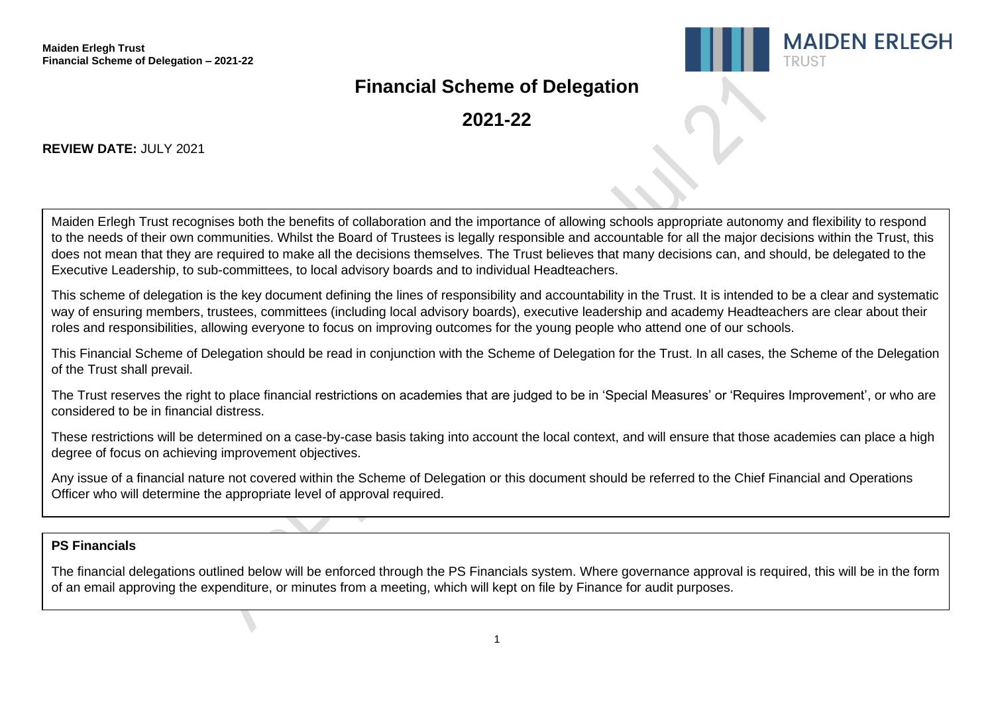

# **Financial Scheme of Delegation**

**2021-22**

### **REVIEW DATE: JULY 2021**

Maiden Erlegh Trust recognises both the benefits of collaboration and the importance of allowing schools appropriate autonomy and flexibility to respond to the needs of their own communities. Whilst the Board of Trustees is legally responsible and accountable for all the major decisions within the Trust, this does not mean that they are required to make all the decisions themselves. The Trust believes that many decisions can, and should, be delegated to the Executive Leadership, to sub-committees, to local advisory boards and to individual Headteachers.

This scheme of delegation is the key document defining the lines of responsibility and accountability in the Trust. It is intended to be a clear and systematic way of ensuring members, trustees, committees (including local advisory boards), executive leadership and academy Headteachers are clear about their roles and responsibilities, allowing everyone to focus on improving outcomes for the young people who attend one of our schools.

This Financial Scheme of Delegation should be read in conjunction with the Scheme of Delegation for the Trust. In all cases, the Scheme of the Delegation of the Trust shall prevail.

The Trust reserves the right to place financial restrictions on academies that are judged to be in 'Special Measures' or 'Requires Improvement', or who are considered to be in financial distress.

These restrictions will be determined on a case-by-case basis taking into account the local context, and will ensure that those academies can place a high degree of focus on achieving improvement objectives.

Any issue of a financial nature not covered within the Scheme of Delegation or this document should be referred to the Chief Financial and Operations Officer who will determine the appropriate level of approval required.

### **PS Financials**

The financial delegations outlined below will be enforced through the PS Financials system. Where governance approval is required, this will be in the form of an email approving the expenditure, or minutes from a meeting, which will kept on file by Finance for audit purposes.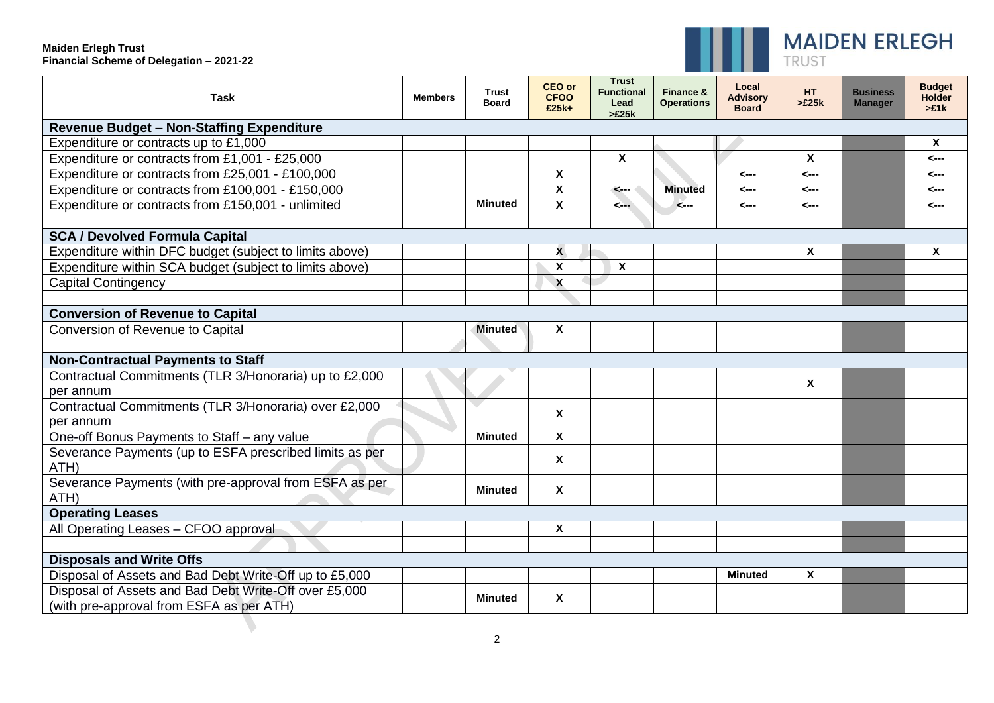#### **Maiden Erlegh Trust Financial Scheme of Delegation – 2021-22**

 $\overline{\phantom{0}}$ 



| <b>Task</b>                                                                                       | <b>Members</b> | <b>Trust</b><br><b>Board</b> | <b>CEO or</b><br><b>CFOO</b><br>£25k+ | <b>Trust</b><br><b>Functional</b><br>Lead<br>>E25k | Finance &<br><b>Operations</b> | Local<br><b>Advisory</b><br><b>Board</b> | HT.<br>>E25k | <b>Business</b><br><b>Manager</b> | <b>Budget</b><br><b>Holder</b><br>>£1k |
|---------------------------------------------------------------------------------------------------|----------------|------------------------------|---------------------------------------|----------------------------------------------------|--------------------------------|------------------------------------------|--------------|-----------------------------------|----------------------------------------|
| <b>Revenue Budget - Non-Staffing Expenditure</b>                                                  |                |                              |                                       |                                                    |                                |                                          |              |                                   |                                        |
| Expenditure or contracts up to £1,000                                                             |                |                              |                                       |                                                    |                                |                                          |              |                                   | X                                      |
| Expenditure or contracts from £1,001 - £25,000                                                    |                |                              |                                       | $\boldsymbol{\mathsf{x}}$                          |                                |                                          | $\mathsf{x}$ |                                   | <---                                   |
| Expenditure or contracts from £25,001 - £100,000                                                  |                |                              | $\boldsymbol{\mathsf{x}}$             |                                                    |                                | <---                                     | <---         |                                   | <---                                   |
| Expenditure or contracts from £100,001 - £150,000                                                 |                |                              | $\boldsymbol{\mathsf{X}}$             | $\leftarrow$                                       | <b>Minuted</b>                 | <---                                     | <---         |                                   | <---                                   |
| Expenditure or contracts from £150,001 - unlimited                                                |                | <b>Minuted</b>               | $\boldsymbol{\mathsf{X}}$             | $\leftarrow$                                       | $\leftarrow$                   | <---                                     | <---         |                                   | <---                                   |
|                                                                                                   |                |                              |                                       |                                                    |                                |                                          |              |                                   |                                        |
| <b>SCA / Devolved Formula Capital</b>                                                             |                |                              |                                       |                                                    |                                |                                          |              |                                   |                                        |
| Expenditure within DFC budget (subject to limits above)                                           |                |                              | $\mathbf{x}$                          |                                                    |                                |                                          | X            |                                   | X                                      |
| Expenditure within SCA budget (subject to limits above)                                           |                |                              | $\boldsymbol{\mathsf{x}}$             | $\mathbf{x}$                                       |                                |                                          |              |                                   |                                        |
| <b>Capital Contingency</b>                                                                        |                |                              | $\boldsymbol{\mathsf{X}}$             |                                                    |                                |                                          |              |                                   |                                        |
|                                                                                                   |                |                              |                                       |                                                    |                                |                                          |              |                                   |                                        |
| <b>Conversion of Revenue to Capital</b>                                                           |                |                              |                                       |                                                    |                                |                                          |              |                                   |                                        |
| Conversion of Revenue to Capital                                                                  |                | <b>Minuted</b>               | $\boldsymbol{\mathsf{X}}$             |                                                    |                                |                                          |              |                                   |                                        |
|                                                                                                   |                |                              |                                       |                                                    |                                |                                          |              |                                   |                                        |
| <b>Non-Contractual Payments to Staff</b>                                                          |                |                              |                                       |                                                    |                                |                                          |              |                                   |                                        |
| Contractual Commitments (TLR 3/Honoraria) up to £2,000<br>per annum                               |                |                              |                                       |                                                    |                                |                                          | X            |                                   |                                        |
| Contractual Commitments (TLR 3/Honoraria) over £2,000<br>per annum                                |                |                              | $\boldsymbol{\mathsf{x}}$             |                                                    |                                |                                          |              |                                   |                                        |
| One-off Bonus Payments to Staff - any value                                                       |                | <b>Minuted</b>               | $\boldsymbol{\mathsf{X}}$             |                                                    |                                |                                          |              |                                   |                                        |
| Severance Payments (up to ESFA prescribed limits as per<br>ATH)                                   |                |                              | X                                     |                                                    |                                |                                          |              |                                   |                                        |
| Severance Payments (with pre-approval from ESFA as per<br>ATH)                                    |                | <b>Minuted</b>               | $\boldsymbol{\mathsf{x}}$             |                                                    |                                |                                          |              |                                   |                                        |
| <b>Operating Leases</b>                                                                           |                |                              |                                       |                                                    |                                |                                          |              |                                   |                                        |
| All Operating Leases - CFOO approval                                                              |                |                              | $\boldsymbol{\mathsf{X}}$             |                                                    |                                |                                          |              |                                   |                                        |
|                                                                                                   |                |                              |                                       |                                                    |                                |                                          |              |                                   |                                        |
| <b>Disposals and Write Offs</b>                                                                   |                |                              |                                       |                                                    |                                |                                          |              |                                   |                                        |
| Disposal of Assets and Bad Debt Write-Off up to £5,000                                            |                |                              |                                       |                                                    |                                | <b>Minuted</b>                           | X            |                                   |                                        |
| Disposal of Assets and Bad Debt Write-Off over £5,000<br>(with pre-approval from ESFA as per ATH) |                | <b>Minuted</b>               | $\boldsymbol{\mathsf{x}}$             |                                                    |                                |                                          |              |                                   |                                        |